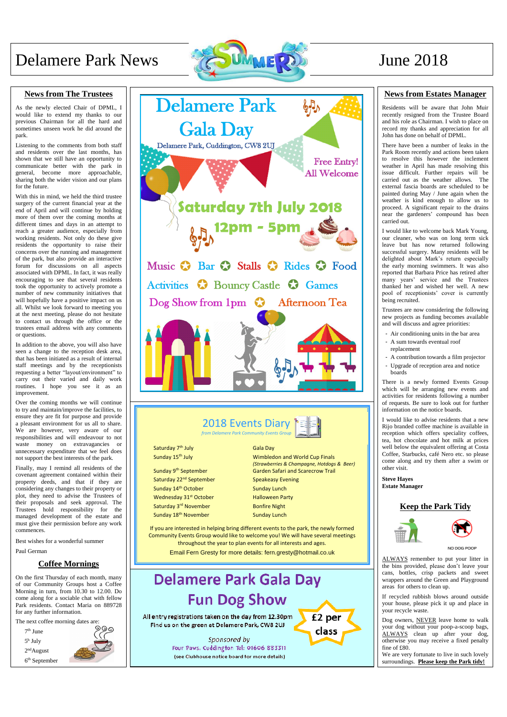# Delamere Park News  $\bigotimes$  UMMERDS June 2018



### **News from The Trustees**

As the newly elected Chair of DPML, I would like to extend my thanks to our previous Chairman for all the hard and sometimes unseen work he did around the park.

Listening to the comments from both staff and residents over the last months, has shown that we still have an opportunity to communicate better with the park in general, become more approachable, sharing both the wider vision and our plans for the future.

With this in mind, we held the third trustee surgery of the current financial year at the end of April and will continue by holding more of them over the coming months at different times and days in an attempt to reach a greater audience, especially from working residents. Not only do these give residents the opportunity to raise their concerns over the running and management of the park, but also provide an interactive forum for discussions on all aspects associated with DPML. In fact, it was really encouraging to see that several residents took the opportunity to actively promote a number of new community initiatives that will hopefully have a positive impact on us all. Whilst we look forward to meeting you at the next meeting, please do not hesitate to contact us through the office or the trustees email address with any comments or questions.

In addition to the above, you will also have seen a change to the reception desk area, that has been initiated as a result of internal staff meetings and by the receptionists requesting a better "layout/environment" to carry out their varied and daily work routines. I hope you see it as an improvement.

Over the coming months we will continue to try and maintain/improve the facilities, to ensure they are fit for purpose and provide a pleasant environment for us all to share. We are however, very aware of our responsibilities and will endeavour to not waste money on extravagancies or unnecessary expenditure that we feel does not support the best interests of the park.

Finally, may I remind all residents of the covenant agreement contained within their property deeds, and that if they are considering any changes to their property or plot, they need to advise the Trustees of their proposals and seek approval. The Trustees hold responsibility for the managed development of the estate and must give their permission before any work commences.

Best wishes for a wonderful summer

Paul German

### **Coffee Mornings**

On the first Thursday of each month, many of our Community Groups host a Coffee Morning in turn, from 10.30 to 12.00. Do come along for a sociable chat with fellow Park residents. Contact Maria on 889728 for any further information.

 Sunday 9th September Saturday 22<sup>nd</sup> September Sunday 14<sup>th</sup> October Wednesday 31<sup>st</sup> October Saturday 3rd November Sunday 18<sup>th</sup> November

The next coffee morning dates are:



6 th September



(see Clubhouse notice board for more details)

NO DOG POOP

### **News from Estates Manager**

Residents will be aware that John Muir recently resigned from the Trustee Board and his role as Chairman. I wish to place on record my thanks and appreciation for all John has done on behalf of DPML.

There have been a number of leaks in the Park Room recently and actions been taken to resolve this however the inclement weather in April has made resolving this issue difficult. Further repairs will be carried out as the weather allows. The external fascia boards are scheduled to be painted during May / June again when the weather is kind enough to allow us to proceed. A significant repair to the drains near the gardeners' compound has been carried out.

I would like to welcome back Mark Young, our cleaner, who was on long term sick leave but has now returned following successful surgery. Many residents will be delighted about Mark's return especially the early morning swimmers. It was also reported that Barbara Price has retired after many years' service and the Trustees thanked her and wished her well. A new pool of receptionists' cover is currently being recruited.

Trustees are now considering the following new projects as funding becomes available and will discuss and agree priorities:

- Air conditioning units in the bar area
- A sum towards eventual roof replacement
- A contribution towards a film projector
- Upgrade of reception area and notice boards

There is a newly formed Events Group which will be arranging new events and activities for residents following a number of requests. Be sure to look out for further information on the notice boards.

I would like to advise residents that a new Rijo branded coffee machine is available in reception which offers speciality coffees, tea, hot chocolate and hot milk at prices well below the equivalent offering at Costa Coffee, Starbucks, café Nero etc. so please come along and try them after a swim or other visit.

**Steve Hayes Estate Manager**





ALWAYS remember to put your litter in the bins provided, please don't leave your cans, bottles, crisp packets and sweet wrappers around the Green and Playground areas for others to clean up.

If recycled rubbish blows around outside your house, please pick it up and place in your recycle waste.

Dog owners, NEVER leave home to walk your dog without your poop-a-scoop bags, ALWAYS clean up after your dog, otherwise you may receive a fixed penalty fine of £80.

We are very fortunate to live in such lovely surroundings. **Please keep the Park tidy!** 

Gala Day

Wimbledon and World Cup Finals *(Strawberries & Champagne, Hotdogs & Beer)* Garden Safari and Scarecrow Trail

Speakeasy Evening Sunday Lunch Halloween Party Bonfire Night Sunday Lunch

If you are interested in helping bring different events to the park, the newly formed Community Events Group would like to welcome you! We will have several meetings throughout the year to plan events for all interests and ages. Email Fern Gresty for more details: fern.gresty@hotmail.co.uk



Saturday 7<sup>th</sup> July Sunday 15<sup>th</sup> July